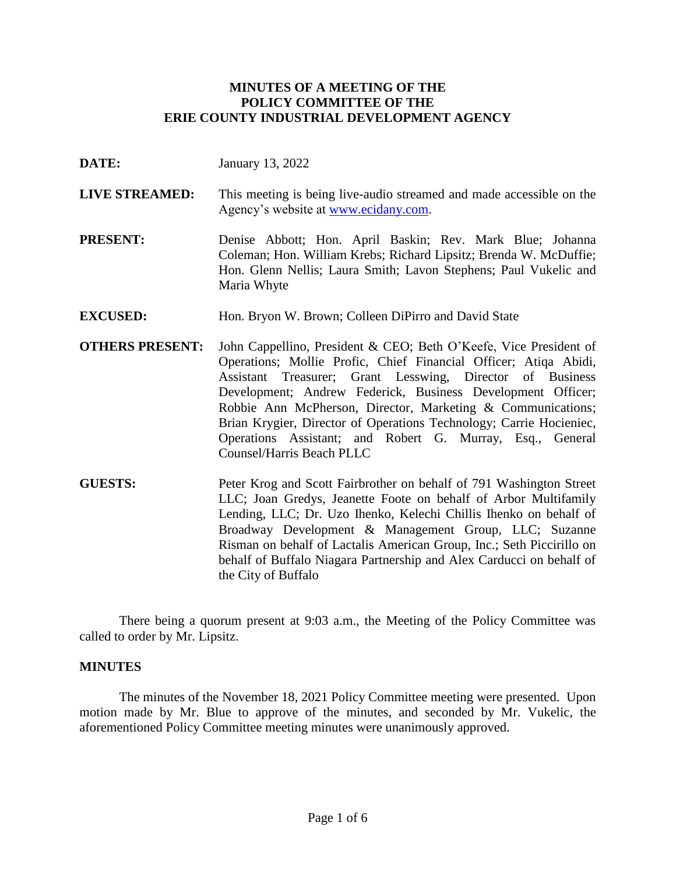## **MINUTES OF A MEETING OF THE POLICY COMMITTEE OF THE ERIE COUNTY INDUSTRIAL DEVELOPMENT AGENCY**

- **DATE:** January 13, 2022
- **LIVE STREAMED:** This meeting is being live-audio streamed and made accessible on the Agency's website at [www.ecidany.com.](http://www.ecidany.com/)
- **PRESENT:** Denise Abbott; Hon. April Baskin; Rev. Mark Blue; Johanna Coleman; Hon. William Krebs; Richard Lipsitz; Brenda W. McDuffie; Hon. Glenn Nellis; Laura Smith; Lavon Stephens; Paul Vukelic and Maria Whyte
- **EXCUSED:** Hon. Bryon W. Brown; Colleen DiPirro and David State
- **OTHERS PRESENT:** John Cappellino, President & CEO; Beth O'Keefe, Vice President of Operations; Mollie Profic, Chief Financial Officer; Atiqa Abidi, Assistant Treasurer; Grant Lesswing, Director of Business Development; Andrew Federick, Business Development Officer; Robbie Ann McPherson, Director, Marketing & Communications; Brian Krygier, Director of Operations Technology; Carrie Hocieniec, Operations Assistant; and Robert G. Murray, Esq., General Counsel/Harris Beach PLLC
- **GUESTS:** Peter Krog and Scott Fairbrother on behalf of 791 Washington Street LLC; Joan Gredys, Jeanette Foote on behalf of Arbor Multifamily Lending, LLC; Dr. Uzo Ihenko, Kelechi Chillis Ihenko on behalf of Broadway Development & Management Group, LLC; Suzanne Risman on behalf of Lactalis American Group, Inc.; Seth Piccirillo on behalf of Buffalo Niagara Partnership and Alex Carducci on behalf of the City of Buffalo

There being a quorum present at 9:03 a.m., the Meeting of the Policy Committee was called to order by Mr. Lipsitz.

### **MINUTES**

The minutes of the November 18, 2021 Policy Committee meeting were presented. Upon motion made by Mr. Blue to approve of the minutes, and seconded by Mr. Vukelic, the aforementioned Policy Committee meeting minutes were unanimously approved.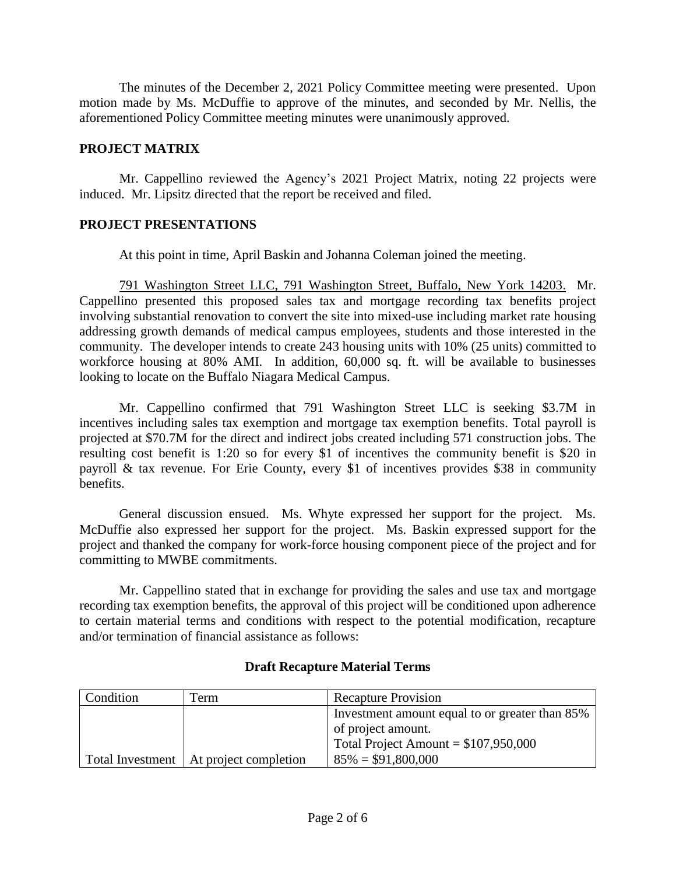The minutes of the December 2, 2021 Policy Committee meeting were presented. Upon motion made by Ms. McDuffie to approve of the minutes, and seconded by Mr. Nellis, the aforementioned Policy Committee meeting minutes were unanimously approved.

## **PROJECT MATRIX**

Mr. Cappellino reviewed the Agency's 2021 Project Matrix, noting 22 projects were induced. Mr. Lipsitz directed that the report be received and filed.

### **PROJECT PRESENTATIONS**

At this point in time, April Baskin and Johanna Coleman joined the meeting.

791 Washington Street LLC, 791 Washington Street, Buffalo, New York 14203. Mr. Cappellino presented this proposed sales tax and mortgage recording tax benefits project involving substantial renovation to convert the site into mixed-use including market rate housing addressing growth demands of medical campus employees, students and those interested in the community. The developer intends to create 243 housing units with 10% (25 units) committed to workforce housing at 80% AMI. In addition, 60,000 sq. ft. will be available to businesses looking to locate on the Buffalo Niagara Medical Campus.

Mr. Cappellino confirmed that 791 Washington Street LLC is seeking \$3.7M in incentives including sales tax exemption and mortgage tax exemption benefits. Total payroll is projected at \$70.7M for the direct and indirect jobs created including 571 construction jobs. The resulting cost benefit is 1:20 so for every \$1 of incentives the community benefit is \$20 in payroll & tax revenue. For Erie County, every \$1 of incentives provides \$38 in community benefits.

General discussion ensued. Ms. Whyte expressed her support for the project. Ms. McDuffie also expressed her support for the project. Ms. Baskin expressed support for the project and thanked the company for work-force housing component piece of the project and for committing to MWBE commitments.

Mr. Cappellino stated that in exchange for providing the sales and use tax and mortgage recording tax exemption benefits, the approval of this project will be conditioned upon adherence to certain material terms and conditions with respect to the potential modification, recapture and/or termination of financial assistance as follows:

| Condition | Term                                     | <b>Recapture Provision</b>                     |
|-----------|------------------------------------------|------------------------------------------------|
|           |                                          | Investment amount equal to or greater than 85% |
|           |                                          | of project amount.                             |
|           |                                          | Total Project Amount = $$107,950,000$          |
|           | Total Investment   At project completion | $85\% = $91,800,000$                           |

# **Draft Recapture Material Terms**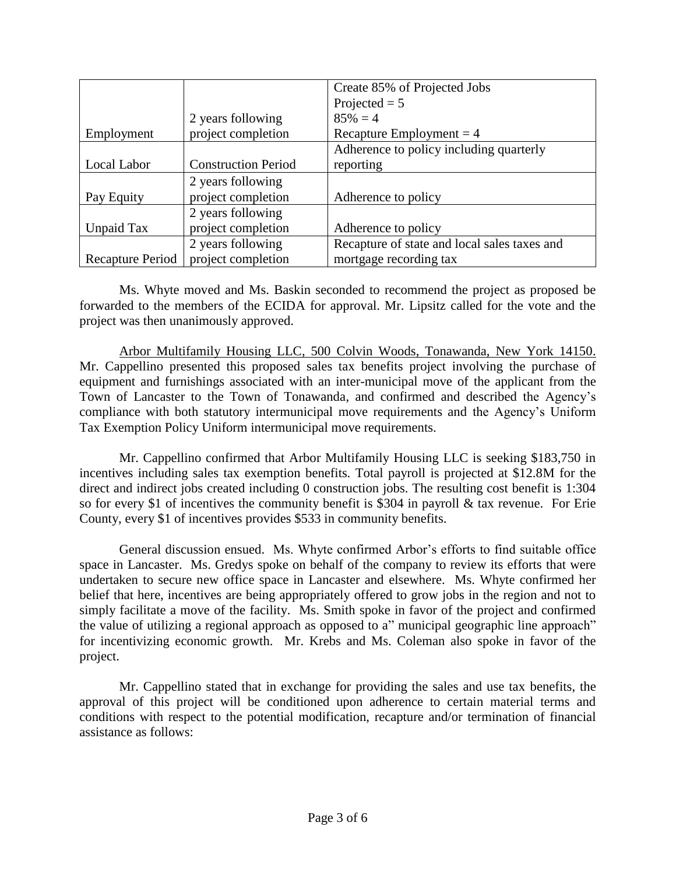|                  |                            | Create 85% of Projected Jobs                 |
|------------------|----------------------------|----------------------------------------------|
|                  |                            | Projected $= 5$                              |
|                  | 2 years following          | $85\% = 4$                                   |
| Employment       | project completion         | Recapture Employment $=$ 4                   |
|                  |                            | Adherence to policy including quarterly      |
| Local Labor      | <b>Construction Period</b> | reporting                                    |
|                  | 2 years following          |                                              |
| Pay Equity       | project completion         | Adherence to policy                          |
|                  | 2 years following          |                                              |
| Unpaid Tax       | project completion         | Adherence to policy                          |
|                  | 2 years following          | Recapture of state and local sales taxes and |
| Recapture Period | project completion         | mortgage recording tax                       |

Ms. Whyte moved and Ms. Baskin seconded to recommend the project as proposed be forwarded to the members of the ECIDA for approval. Mr. Lipsitz called for the vote and the project was then unanimously approved.

Arbor Multifamily Housing LLC, 500 Colvin Woods, Tonawanda, New York 14150. Mr. Cappellino presented this proposed sales tax benefits project involving the purchase of equipment and furnishings associated with an inter-municipal move of the applicant from the Town of Lancaster to the Town of Tonawanda, and confirmed and described the Agency's compliance with both statutory intermunicipal move requirements and the Agency's Uniform Tax Exemption Policy Uniform intermunicipal move requirements.

Mr. Cappellino confirmed that Arbor Multifamily Housing LLC is seeking \$183,750 in incentives including sales tax exemption benefits. Total payroll is projected at \$12.8M for the direct and indirect jobs created including 0 construction jobs. The resulting cost benefit is 1:304 so for every \$1 of incentives the community benefit is \$304 in payroll & tax revenue. For Erie County, every \$1 of incentives provides \$533 in community benefits.

General discussion ensued. Ms. Whyte confirmed Arbor's efforts to find suitable office space in Lancaster. Ms. Gredys spoke on behalf of the company to review its efforts that were undertaken to secure new office space in Lancaster and elsewhere. Ms. Whyte confirmed her belief that here, incentives are being appropriately offered to grow jobs in the region and not to simply facilitate a move of the facility. Ms. Smith spoke in favor of the project and confirmed the value of utilizing a regional approach as opposed to a" municipal geographic line approach" for incentivizing economic growth. Mr. Krebs and Ms. Coleman also spoke in favor of the project.

Mr. Cappellino stated that in exchange for providing the sales and use tax benefits, the approval of this project will be conditioned upon adherence to certain material terms and conditions with respect to the potential modification, recapture and/or termination of financial assistance as follows: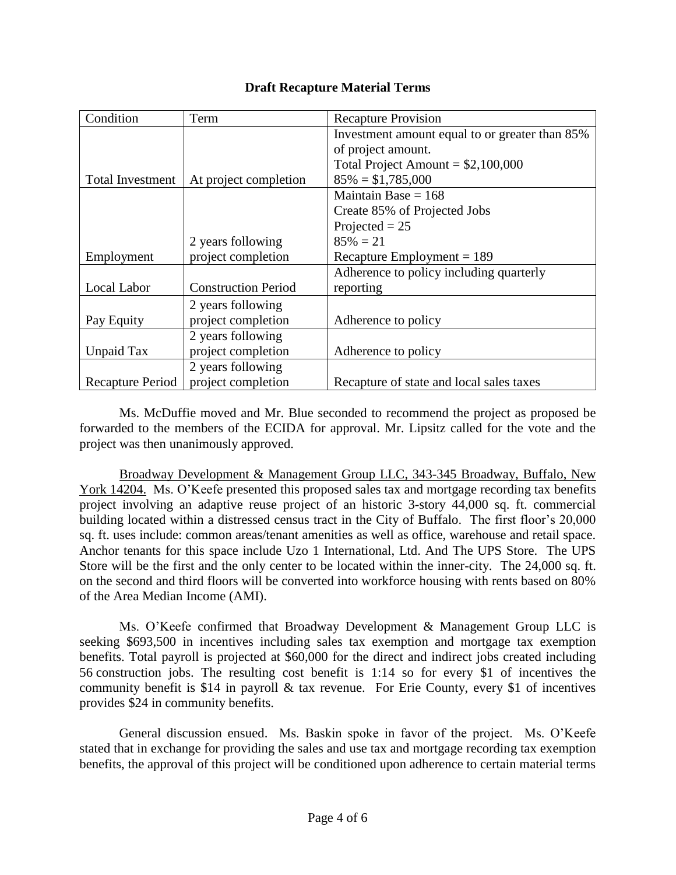| Condition               | Term                       | <b>Recapture Provision</b>                     |
|-------------------------|----------------------------|------------------------------------------------|
|                         |                            | Investment amount equal to or greater than 85% |
|                         |                            | of project amount.                             |
|                         |                            | Total Project Amount = $$2,100,000$            |
| <b>Total Investment</b> | At project completion      | $85\% = $1,785,000$                            |
|                         |                            | Maintain Base $= 168$                          |
|                         |                            | Create 85% of Projected Jobs                   |
|                         |                            | Projected $= 25$                               |
|                         | 2 years following          | $85\% = 21$                                    |
| Employment              | project completion         | Recapture Employment = $189$                   |
|                         |                            | Adherence to policy including quarterly        |
| Local Labor             | <b>Construction Period</b> | reporting                                      |
|                         | 2 years following          |                                                |
| Pay Equity              | project completion         | Adherence to policy                            |
|                         | 2 years following          |                                                |
| Unpaid Tax              | project completion         | Adherence to policy                            |
|                         | 2 years following          |                                                |
| Recapture Period        | project completion         | Recapture of state and local sales taxes       |

Ms. McDuffie moved and Mr. Blue seconded to recommend the project as proposed be forwarded to the members of the ECIDA for approval. Mr. Lipsitz called for the vote and the project was then unanimously approved.

Broadway Development & Management Group LLC, 343-345 Broadway, Buffalo, New York 14204. Ms. O'Keefe presented this proposed sales tax and mortgage recording tax benefits project involving an adaptive reuse project of an historic 3-story 44,000 sq. ft. commercial building located within a distressed census tract in the City of Buffalo. The first floor's 20,000 sq. ft. uses include: common areas/tenant amenities as well as office, warehouse and retail space. Anchor tenants for this space include Uzo 1 International, Ltd. And The UPS Store. The UPS Store will be the first and the only center to be located within the inner-city. The 24,000 sq. ft. on the second and third floors will be converted into workforce housing with rents based on 80% of the Area Median Income (AMI).

Ms. O'Keefe confirmed that Broadway Development & Management Group LLC is seeking \$693,500 in incentives including sales tax exemption and mortgage tax exemption benefits. Total payroll is projected at \$60,000 for the direct and indirect jobs created including 56 construction jobs. The resulting cost benefit is 1:14 so for every \$1 of incentives the community benefit is \$14 in payroll & tax revenue. For Erie County, every \$1 of incentives provides \$24 in community benefits.

General discussion ensued. Ms. Baskin spoke in favor of the project. Ms. O'Keefe stated that in exchange for providing the sales and use tax and mortgage recording tax exemption benefits, the approval of this project will be conditioned upon adherence to certain material terms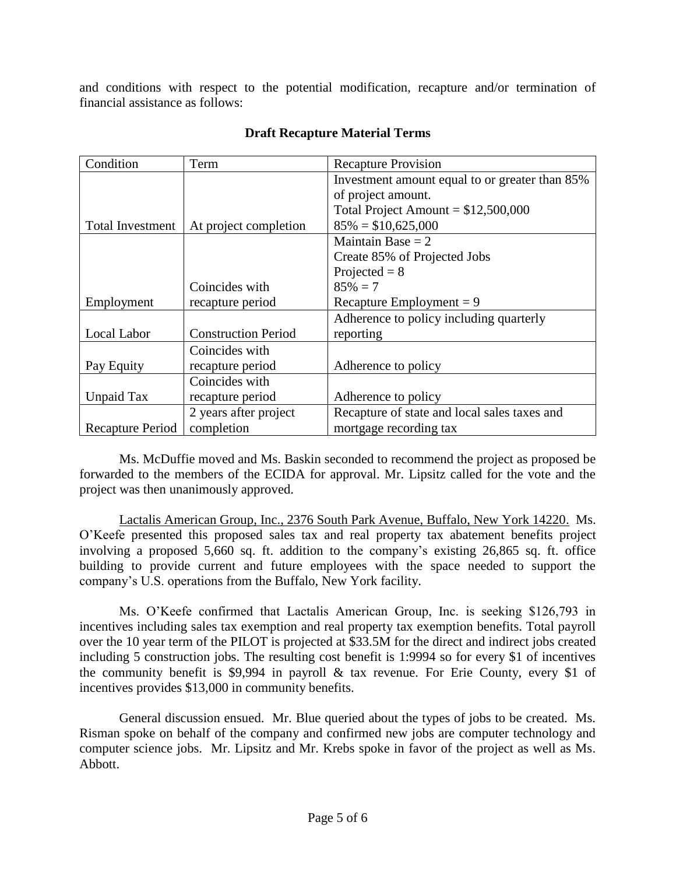and conditions with respect to the potential modification, recapture and/or termination of financial assistance as follows:

| Condition               | Term                       | <b>Recapture Provision</b>                     |
|-------------------------|----------------------------|------------------------------------------------|
|                         |                            | Investment amount equal to or greater than 85% |
|                         |                            | of project amount.                             |
|                         |                            | Total Project Amount = $$12,500,000$           |
| <b>Total Investment</b> | At project completion      | $85\% = $10,625,000$                           |
|                         |                            | Maintain Base $= 2$                            |
|                         |                            | Create 85% of Projected Jobs                   |
|                         |                            | Projected $= 8$                                |
|                         | Coincides with             | $85\% = 7$                                     |
| Employment              | recapture period           | Recapture Employment = $9$                     |
|                         |                            | Adherence to policy including quarterly        |
| Local Labor             | <b>Construction Period</b> | reporting                                      |
|                         | Coincides with             |                                                |
| Pay Equity              | recapture period           | Adherence to policy                            |
|                         | Coincides with             |                                                |
| Unpaid Tax              | recapture period           | Adherence to policy                            |
|                         | 2 years after project      | Recapture of state and local sales taxes and   |
| Recapture Period        | completion                 | mortgage recording tax                         |

## **Draft Recapture Material Terms**

Ms. McDuffie moved and Ms. Baskin seconded to recommend the project as proposed be forwarded to the members of the ECIDA for approval. Mr. Lipsitz called for the vote and the project was then unanimously approved.

Lactalis American Group, Inc., 2376 South Park Avenue, Buffalo, New York 14220. Ms. O'Keefe presented this proposed sales tax and real property tax abatement benefits project involving a proposed 5,660 sq. ft. addition to the company's existing 26,865 sq. ft. office building to provide current and future employees with the space needed to support the company's U.S. operations from the Buffalo, New York facility.

Ms. O'Keefe confirmed that Lactalis American Group, Inc. is seeking \$126,793 in incentives including sales tax exemption and real property tax exemption benefits. Total payroll over the 10 year term of the PILOT is projected at \$33.5M for the direct and indirect jobs created including 5 construction jobs. The resulting cost benefit is 1:9994 so for every \$1 of incentives the community benefit is \$9,994 in payroll & tax revenue. For Erie County, every \$1 of incentives provides \$13,000 in community benefits.

General discussion ensued. Mr. Blue queried about the types of jobs to be created. Ms. Risman spoke on behalf of the company and confirmed new jobs are computer technology and computer science jobs. Mr. Lipsitz and Mr. Krebs spoke in favor of the project as well as Ms. Abbott.